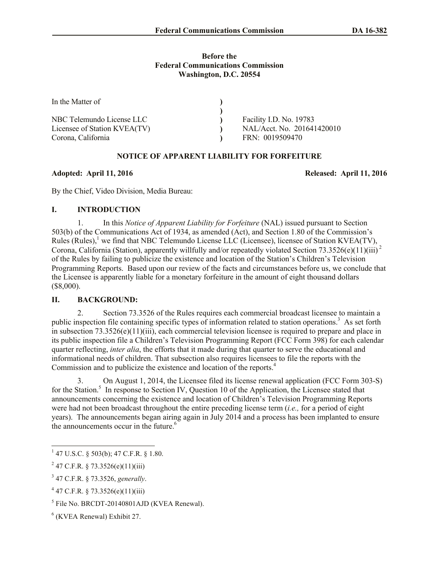### **Before the Federal Communications Commission Washington, D.C. 20554**

| In the Matter of             |                            |
|------------------------------|----------------------------|
|                              |                            |
| NBC Telemundo License LLC    | Facility I.D. No. 19783    |
| Licensee of Station KVEA(TV) | NAL/Acct. No. 201641420010 |
| Corona, California           | FRN: 0019509470            |

# **NOTICE OF APPARENT LIABILITY FOR FORFEITURE**

## **Adopted: April 11, 2016 Released: April 11, 2016**

By the Chief, Video Division, Media Bureau:

## **I. INTRODUCTION**

1. In this *Notice of Apparent Liability for Forfeiture* (NAL) issued pursuant to Section 503(b) of the Communications Act of 1934, as amended (Act), and Section 1.80 of the Commission's Rules (Rules),<sup>1</sup> we find that NBC Telemundo License LLC (Licensee), licensee of Station KVEA(TV), Corona, California (Station), apparently willfully and/or repeatedly violated Section 73.3526(e)(11)(iii)<sup>2</sup> of the Rules by failing to publicize the existence and location of the Station's Children's Television Programming Reports. Based upon our review of the facts and circumstances before us, we conclude that the Licensee is apparently liable for a monetary forfeiture in the amount of eight thousand dollars (\$8,000).

# **II. BACKGROUND:**

2. Section 73.3526 of the Rules requires each commercial broadcast licensee to maintain a public inspection file containing specific types of information related to station operations.<sup>3</sup> As set forth in subsection 73.3526(e)(11)(iii), each commercial television licensee is required to prepare and place in its public inspection file a Children's Television Programming Report (FCC Form 398) for each calendar quarter reflecting, *inter alia*, the efforts that it made during that quarter to serve the educational and informational needs of children. That subsection also requires licensees to file the reports with the Commission and to publicize the existence and location of the reports.<sup>4</sup>

3. On August 1, 2014, the Licensee filed its license renewal application (FCC Form 303-S) for the Station.<sup>5</sup> In response to Section IV, Question 10 of the Application, the Licensee stated that announcements concerning the existence and location of Children's Television Programming Reports were had not been broadcast throughout the entire preceding license term (*i.e.,* for a period of eight years). The announcements began airing again in July 2014 and a process has been implanted to ensure the announcements occur in the future.<sup>6</sup>

 $\overline{a}$ 

 $1$  47 U.S.C. § 503(b); 47 C.F.R. § 1.80.

 $^{2}$  47 C.F.R. § 73.3526(e)(11)(iii)

<sup>3</sup> 47 C.F.R. § 73.3526, *generally*.

 $4$  47 C.F.R. § 73.3526(e)(11)(iii)

<sup>&</sup>lt;sup>5</sup> File No. BRCDT-20140801AJD (KVEA Renewal).

<sup>6</sup> (KVEA Renewal) Exhibit 27.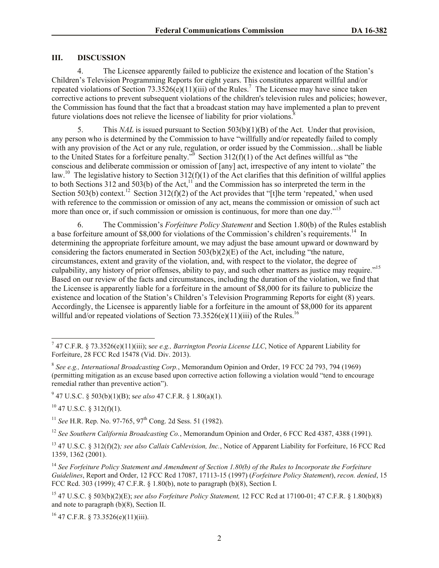### **III. DISCUSSION**

4. The Licensee apparently failed to publicize the existence and location of the Station's Children's Television Programming Reports for eight years. This constitutes apparent willful and/or repeated violations of Section 73.3526( $\hat{e}$ )(11)(iii) of the Rules.<sup>7</sup> The Licensee may have since taken corrective actions to prevent subsequent violations of the children's television rules and policies; however, the Commission has found that the fact that a broadcast station may have implemented a plan to prevent future violations does not relieve the licensee of liability for prior violations.<sup>8</sup>

5. This *NAL* is issued pursuant to Section 503(b)(1)(B) of the Act. Under that provision, any person who is determined by the Commission to have "willfully and/or repeatedly failed to comply with any provision of the Act or any rule, regulation, or order issued by the Commission…shall be liable to the United States for a forfeiture penalty.<sup>79</sup> Section 312(f)(1) of the Act defines willful as "the conscious and deliberate commission or omission of [any] act, irrespective of any intent to violate" the law.<sup>10</sup> The legislative history to Section 312(f)(1) of the Act clarifies that this definition of willful applies to both Sections 312 and 503(b) of the Act,<sup>11</sup> and the Commission has so interpreted the term in the Section 503(b) context.<sup>12</sup> Section 312(f)(2) of the Act provides that "[t]he term 'repeated,' when used with reference to the commission or omission of any act, means the commission or omission of such act more than once or, if such commission or omission is continuous, for more than one day."<sup>13</sup>

6. The Commission's *Forfeiture Policy Statement* and Section 1.80(b) of the Rules establish a base forfeiture amount of \$8,000 for violations of the Commission's children's requirements.<sup>14</sup> In determining the appropriate forfeiture amount, we may adjust the base amount upward or downward by considering the factors enumerated in Section  $503(b)(2)(E)$  of the Act, including "the nature, circumstances, extent and gravity of the violation, and, with respect to the violator, the degree of culpability, any history of prior offenses, ability to pay, and such other matters as justice may require."<sup>15</sup> Based on our review of the facts and circumstances, including the duration of the violation, we find that the Licensee is apparently liable for a forfeiture in the amount of \$8,000 for its failure to publicize the existence and location of the Station's Children's Television Programming Reports for eight (8) years. Accordingly, the Licensee is apparently liable for a forfeiture in the amount of \$8,000 for its apparent willful and/or repeated violations of Section 73.3526(e)(11)(iii) of the Rules.<sup>16</sup>

 $10$  47 U.S.C. § 312(f)(1).

<sup>11</sup> *See* H.R. Rep. No. 97-765, 97<sup>th</sup> Cong. 2d Sess. 51 (1982).

<sup>12</sup> *See Southern California Broadcasting Co.*, Memorandum Opinion and Order, 6 FCC Rcd 4387, 4388 (1991).

<sup>13</sup> 47 U.S.C. § 312(f)(2)*; see also Callais Cablevision, Inc.*, Notice of Apparent Liability for Forfeiture, 16 FCC Rcd 1359, 1362 (2001).

<sup>14</sup> *See Forfeiture Policy Statement and Amendment of Section 1.80(b) of the Rules to Incorporate the Forfeiture Guidelines*, Report and Order, 12 FCC Rcd 17087, 17113-15 (1997) (*Forfeiture Policy Statement*), *recon. denied*, 15 FCC Rcd. 303 (1999); 47 C.F.R. § 1.80(b), note to paragraph (b)(8), Section I.

 $16$  47 C.F.R. § 73.3526(e)(11)(iii).

 7 47 C.F.R. § 73.3526(e)(11)(iii); s*ee e.g., Barrington Peoria License LLC*, Notice of Apparent Liability for Forfeiture, 28 FCC Rcd 15478 (Vid. Div. 2013).

<sup>8</sup> *See e.g., International Broadcasting Corp.*, Memorandum Opinion and Order, 19 FCC 2d 793, 794 (1969) (permitting mitigation as an excuse based upon corrective action following a violation would "tend to encourage remedial rather than preventive action").

<sup>9</sup> 47 U.S.C. § 503(b)(1)(B); s*ee also* 47 C.F.R. § 1.80(a)(1).

<sup>15</sup> 47 U.S.C. § 503(b)(2)(E); *see also Forfeiture Policy Statement,* 12 FCC Rcd at 17100-01; 47 C.F.R. § 1.80(b)(8) and note to paragraph (b)(8), Section II.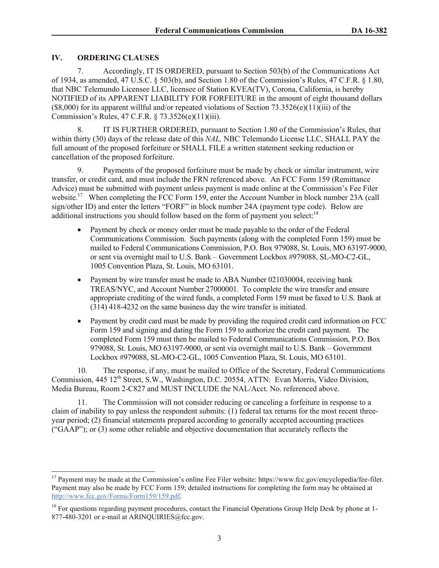## **IV. ORDERING CLAUSES**

l

7. Accordingly, IT IS ORDERED, pursuant to Section 503(b) of the Communications Act of 1934, as amended, 47 U.S.C. § 503(b), and Section 1.80 of the Commission's Rules, 47 C.F.R. § 1.80, that NBC Telemundo Licensee LLC, licensee of Station KVEA(TV), Corona, California, is hereby NOTIFIED of its APPARENT LIABILITY FOR FORFEITURE in the amount of eight thousand dollars  $($8,000)$  for its apparent willful and/or repeated violations of Section 73.3526(e)(11)(iii) of the Commission's Rules, 47 C.F.R. § 73.3526(e)(11)(iii).

8. IT IS FURTHER ORDERED, pursuant to Section 1.80 of the Commission's Rules, that within thirty (30) days of the release date of this *NAL,* NBC Telemundo License LLC, SHALL PAY the full amount of the proposed forfeiture or SHALL FILE a written statement seeking reduction or cancellation of the proposed forfeiture.

9. Payments of the proposed forfeiture must be made by check or similar instrument, wire transfer, or credit card, and must include the FRN referenced above. An FCC Form 159 (Remittance Advice) must be submitted with payment unless payment is made online at the Commission's Fee Filer website.<sup>17</sup> When completing the FCC Form 159, enter the Account Number in block number 23A (call sign/other ID) and enter the letters "FORF" in block number 24A (payment type code). Below are additional instructions you should follow based on the form of payment you select:<sup>18</sup>

- Payment by check or money order must be made payable to the order of the Federal Communications Commission. Such payments (along with the completed Form 159) must be mailed to Federal Communications Commission, P.O. Box 979088, St. Louis, MO 63197-9000, or sent via overnight mail to U.S. Bank – Government Lockbox #979088, SL-MO-C2-GL, 1005 Convention Plaza, St. Louis, MO 63101.
- Payment by wire transfer must be made to ABA Number 021030004, receiving bank TREAS/NYC, and Account Number 27000001. To complete the wire transfer and ensure appropriate crediting of the wired funds, a completed Form 159 must be faxed to U.S. Bank at (314) 418-4232 on the same business day the wire transfer is initiated.
- Payment by credit card must be made by providing the required credit card information on FCC Form 159 and signing and dating the Form 159 to authorize the credit card payment. The completed Form 159 must then be mailed to Federal Communications Commission, P.O. Box 979088, St. Louis, MO 63197-9000, or sent via overnight mail to U.S. Bank – Government Lockbox #979088, SL-MO-C2-GL, 1005 Convention Plaza, St. Louis, MO 63101.

10. The response, if any, must be mailed to Office of the Secretary, Federal Communications Commission, 445 12<sup>th</sup> Street, S.W., Washington, D.C. 20554, ATTN: Evan Morris, Video Division, Media Bureau, Room 2-C827 and MUST INCLUDE the NAL/Acct. No. referenced above.

11. The Commission will not consider reducing or canceling a forfeiture in response to a claim of inability to pay unless the respondent submits: (1) federal tax returns for the most recent threeyear period; (2) financial statements prepared according to generally accepted accounting practices ("GAAP"); or (3) some other reliable and objective documentation that accurately reflects the

<sup>&</sup>lt;sup>17</sup> Payment may be made at the Commission's online Fee Filer website: https://www.fcc.gov/encyclopedia/fee-filer. Payment may also be made by FCC Form 159; detailed instructions for completing the form may be obtained at http://www.fcc.gov/Forms/Form159/159.pdf.

<sup>&</sup>lt;sup>18</sup> For questions regarding payment procedures, contact the Financial Operations Group Help Desk by phone at 1-877-480-3201 or e-mail at ARINOUIRIES@fcc.gov.